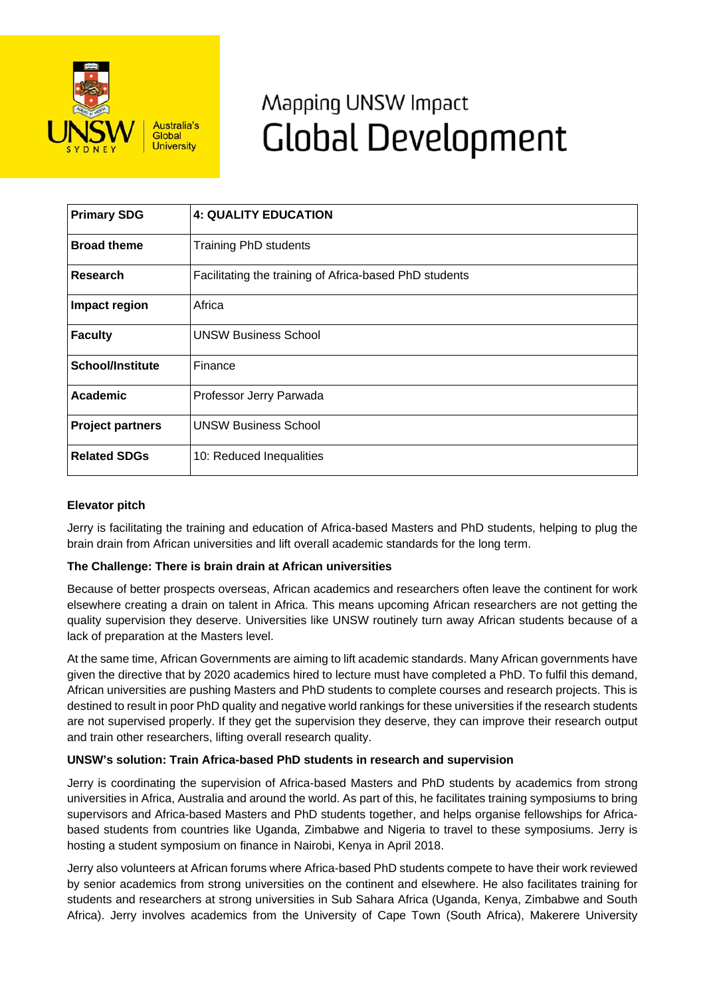

# Mapping UNSW Impact **Global Development**

| <b>Primary SDG</b>      | <b>4: QUALITY EDUCATION</b>                            |
|-------------------------|--------------------------------------------------------|
| <b>Broad theme</b>      | <b>Training PhD students</b>                           |
| Research                | Facilitating the training of Africa-based PhD students |
| Impact region           | Africa                                                 |
| <b>Faculty</b>          | <b>UNSW Business School</b>                            |
| <b>School/Institute</b> | Finance                                                |
| Academic                | Professor Jerry Parwada                                |
| <b>Project partners</b> | <b>UNSW Business School</b>                            |
| <b>Related SDGs</b>     | 10: Reduced Inequalities                               |

## **Elevator pitch**

Jerry is facilitating the training and education of Africa-based Masters and PhD students, helping to plug the brain drain from African universities and lift overall academic standards for the long term.

## **The Challenge: There is brain drain at African universities**

Because of better prospects overseas, African academics and researchers often leave the continent for work elsewhere creating a drain on talent in Africa. This means upcoming African researchers are not getting the quality supervision they deserve. Universities like UNSW routinely turn away African students because of a lack of preparation at the Masters level.

At the same time, African Governments are aiming to lift academic standards. Many African governments have given the directive that by 2020 academics hired to lecture must have completed a PhD. To fulfil this demand, African universities are pushing Masters and PhD students to complete courses and research projects. This is destined to result in poor PhD quality and negative world rankings for these universities if the research students are not supervised properly. If they get the supervision they deserve, they can improve their research output and train other researchers, lifting overall research quality.

## **UNSW's solution: Train Africa-based PhD students in research and supervision**

Jerry is coordinating the supervision of Africa-based Masters and PhD students by academics from strong universities in Africa, Australia and around the world. As part of this, he facilitates training symposiums to bring supervisors and Africa-based Masters and PhD students together, and helps organise fellowships for Africabased students from countries like Uganda, Zimbabwe and Nigeria to travel to these symposiums. Jerry is hosting a student symposium on finance in Nairobi, Kenya in April 2018.

Jerry also volunteers at African forums where Africa-based PhD students compete to have their work reviewed by senior academics from strong universities on the continent and elsewhere. He also facilitates training for students and researchers at strong universities in Sub Sahara Africa (Uganda, Kenya, Zimbabwe and South Africa). Jerry involves academics from the University of Cape Town (South Africa), Makerere University